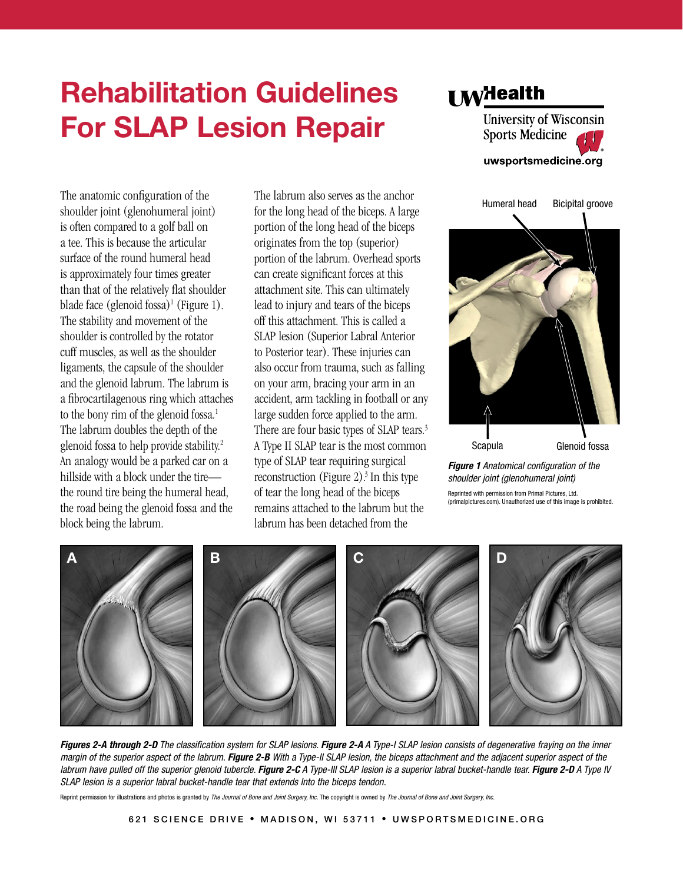

The anatomic configuration of the shoulder joint (glenohumeral joint) is often compared to a golf ball on a tee. This is because the articular surface of the round humeral head is approximately four times greater than that of the relatively flat shoulder blade face  $($ glenoid fossa $)$ <sup>1</sup> (Figure 1). The stability and movement of the shoulder is controlled by the rotator cuff muscles, as well as the shoulder ligaments, the capsule of the shoulder and the glenoid labrum. The labrum is a fibrocartilagenous ring which attaches to the bony rim of the glenoid fossa.<sup>1</sup> The labrum doubles the depth of the glenoid fossa to help provide stability.<sup>2</sup> An analogy would be a parked car on a hillside with a block under the tire the round tire being the humeral head, the road being the glenoid fossa and the block being the labrum.

The labrum also serves as the anchor for the long head of the biceps. A large portion of the long head of the biceps originates from the top (superior) portion of the labrum. Overhead sports can create significant forces at this attachment site. This can ultimately lead to injury and tears of the biceps off this attachment. This is called a SLAP lesion (Superior Labral Anterior to Posterior tear). These injuries can also occur from trauma, such as falling on your arm, bracing your arm in an accident, arm tackling in football or any large sudden force applied to the arm. There are four basic types of SLAP tears.<sup>3</sup> A Type II SLAP tear is the most common type of SLAP tear requiring surgical reconstruction (Figure 2).<sup>3</sup> In this type of tear the long head of the biceps remains attached to the labrum but the labrum has been detached from the



*Figure 1 Anatomical configuration of the shoulder joint (glenohumeral joint)*

Reprinted with permission from Primal Pictures, Ltd. (primalpictures.com). Unauthorized use of this image is prohibited.



*Figures 2-A through 2-D The classification system for SLAP lesions. Figure 2-A A Type-I SLAP lesion consists of degenerative fraying on the inner margin of the superior aspect of the labrum. Figure 2-B With a Type-II SLAP lesion, the biceps attachment and the adjacent superior aspect of the*  labrum have pulled off the superior glenoid tubercle. Figure 2-C A Type-III SLAP lesion is a superior labral bucket-handle tear. Figure 2-D A Type IV *SLAP lesion is a superior labral bucket-handle tear that extends Into the biceps tendon.*

Reprint permission for illustrations and photos is granted by *The Journal of Bone and Joint Surgery, Inc.* The copyright is owned by *The Journal of Bone and Joint Surgery, Inc.*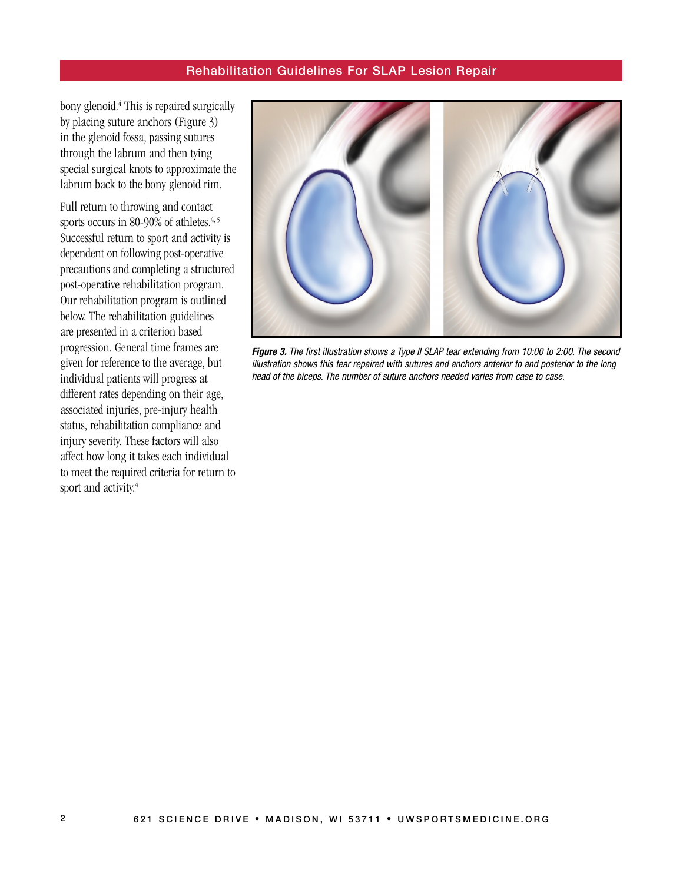bony glenoid.<sup>4</sup> This is repaired surgically by placing suture anchors (Figure 3) in the glenoid fossa, passing sutures through the labrum and then tying special surgical knots to approximate the labrum back to the bony glenoid rim.

Full return to throwing and contact sports occurs in 80-90% of athletes.<sup>4, 5</sup> Successful return to sport and activity is dependent on following post-operative precautions and completing a structured post-operative rehabilitation program. Our rehabilitation program is outlined below. The rehabilitation guidelines are presented in a criterion based progression. General time frames are given for reference to the average, but individual patients will progress at different rates depending on their age, associated injuries, pre-injury health status, rehabilitation compliance and injury severity. These factors will also affect how long it takes each individual to meet the required criteria for return to sport and activity.<sup>4</sup>



*Figure 3. The first illustration shows a Type II SLAP tear extending from 10:00 to 2:00. The second illustration shows this tear repaired with sutures and anchors anterior to and posterior to the long head of the biceps. The number of suture anchors needed varies from case to case.*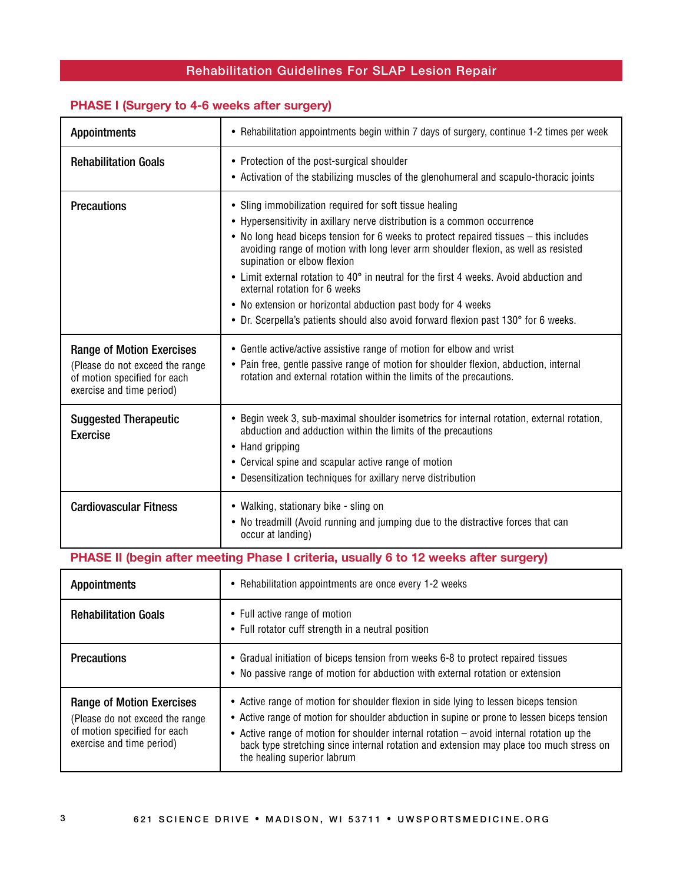## **PHASE I (Surgery to 4-6 weeks after surgery)**

| <b>Appointments</b>                                                                                                              | • Rehabilitation appointments begin within 7 days of surgery, continue 1-2 times per week                                                                                                                                                                                                                                                                                                                                                                                                                                                                                                                                           |  |
|----------------------------------------------------------------------------------------------------------------------------------|-------------------------------------------------------------------------------------------------------------------------------------------------------------------------------------------------------------------------------------------------------------------------------------------------------------------------------------------------------------------------------------------------------------------------------------------------------------------------------------------------------------------------------------------------------------------------------------------------------------------------------------|--|
| <b>Rehabilitation Goals</b>                                                                                                      | • Protection of the post-surgical shoulder<br>• Activation of the stabilizing muscles of the glenohumeral and scapulo-thoracic joints                                                                                                                                                                                                                                                                                                                                                                                                                                                                                               |  |
| <b>Precautions</b>                                                                                                               | • Sling immobilization required for soft tissue healing<br>• Hypersensitivity in axillary nerve distribution is a common occurrence<br>• No long head biceps tension for 6 weeks to protect repaired tissues – this includes<br>avoiding range of motion with long lever arm shoulder flexion, as well as resisted<br>supination or elbow flexion<br>• Limit external rotation to 40° in neutral for the first 4 weeks. Avoid abduction and<br>external rotation for 6 weeks<br>• No extension or horizontal abduction past body for 4 weeks<br>• Dr. Scerpella's patients should also avoid forward flexion past 130° for 6 weeks. |  |
| <b>Range of Motion Exercises</b><br>(Please do not exceed the range<br>of motion specified for each<br>exercise and time period) | • Gentle active/active assistive range of motion for elbow and wrist<br>• Pain free, gentle passive range of motion for shoulder flexion, abduction, internal<br>rotation and external rotation within the limits of the precautions.                                                                                                                                                                                                                                                                                                                                                                                               |  |
| <b>Suggested Therapeutic</b><br><b>Exercise</b>                                                                                  | • Begin week 3, sub-maximal shoulder isometrics for internal rotation, external rotation,<br>abduction and adduction within the limits of the precautions<br>• Hand gripping<br>• Cervical spine and scapular active range of motion<br>• Desensitization techniques for axillary nerve distribution                                                                                                                                                                                                                                                                                                                                |  |
| <b>Cardiovascular Fitness</b>                                                                                                    | • Walking, stationary bike - sling on<br>• No treadmill (Avoid running and jumping due to the distractive forces that can<br>occur at landing)                                                                                                                                                                                                                                                                                                                                                                                                                                                                                      |  |
| PHASE II (begin after meeting Phase I criteria, usually 6 to 12 weeks after surgery)                                             |                                                                                                                                                                                                                                                                                                                                                                                                                                                                                                                                                                                                                                     |  |
| <b>Appointments</b>                                                                                                              | • Rehabilitation appointments are once every 1-2 weeks                                                                                                                                                                                                                                                                                                                                                                                                                                                                                                                                                                              |  |
| <b>Rehabilitation Goals</b>                                                                                                      | • Full active range of motion<br>• Full rotator cuff strength in a neutral position                                                                                                                                                                                                                                                                                                                                                                                                                                                                                                                                                 |  |

|                                                                                                                                   | • Full folator cuit strengul in a neutral position                                                                                                                                                                                                                                                                                                                                                        |
|-----------------------------------------------------------------------------------------------------------------------------------|-----------------------------------------------------------------------------------------------------------------------------------------------------------------------------------------------------------------------------------------------------------------------------------------------------------------------------------------------------------------------------------------------------------|
| <b>Precautions</b>                                                                                                                | • Gradual initiation of biceps tension from weeks 6-8 to protect repaired tissues<br>• No passive range of motion for abduction with external rotation or extension                                                                                                                                                                                                                                       |
| <b>Range of Motion Exercises</b><br>(Please do not exceed the range)<br>of motion specified for each<br>exercise and time period) | • Active range of motion for shoulder flexion in side lying to lessen biceps tension<br>• Active range of motion for shoulder abduction in supine or prone to lessen biceps tension<br>• Active range of motion for shoulder internal rotation – avoid internal rotation up the<br>back type stretching since internal rotation and extension may place too much stress on<br>the healing superior labrum |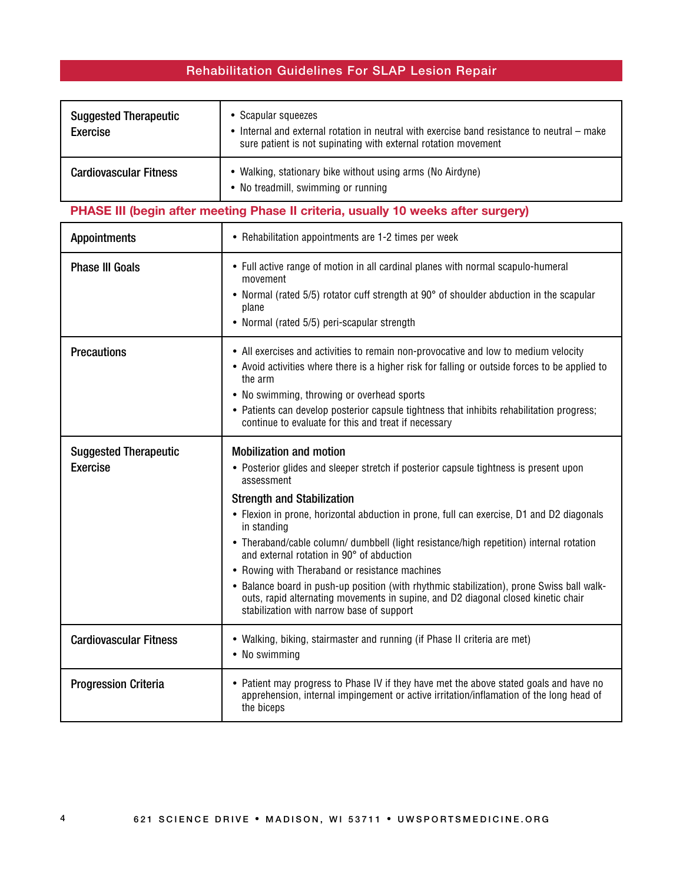| <b>Suggested Therapeutic</b><br>Exercise | • Scapular squeezes<br>• Internal and external rotation in neutral with exercise band resistance to neutral $-$ make<br>sure patient is not supinating with external rotation movement |
|------------------------------------------|----------------------------------------------------------------------------------------------------------------------------------------------------------------------------------------|
| <b>Cardiovascular Fitness</b>            | • Walking, stationary bike without using arms (No Airdyne)<br>• No treadmill, swimming or running                                                                                      |

## **PHASE III (begin after meeting Phase II criteria, usually 10 weeks after surgery)**

| <b>Appointments</b>                             | • Rehabilitation appointments are 1-2 times per week                                                                                                                                                                                                                                                                                                                                                                                                                                                                                                                                                                                                                                                            |
|-------------------------------------------------|-----------------------------------------------------------------------------------------------------------------------------------------------------------------------------------------------------------------------------------------------------------------------------------------------------------------------------------------------------------------------------------------------------------------------------------------------------------------------------------------------------------------------------------------------------------------------------------------------------------------------------------------------------------------------------------------------------------------|
| <b>Phase III Goals</b>                          | • Full active range of motion in all cardinal planes with normal scapulo-humeral<br>movement<br>• Normal (rated 5/5) rotator cuff strength at 90° of shoulder abduction in the scapular<br>plane<br>• Normal (rated 5/5) peri-scapular strength                                                                                                                                                                                                                                                                                                                                                                                                                                                                 |
| <b>Precautions</b>                              | • All exercises and activities to remain non-provocative and low to medium velocity<br>• Avoid activities where there is a higher risk for falling or outside forces to be applied to<br>the arm<br>• No swimming, throwing or overhead sports<br>• Patients can develop posterior capsule tightness that inhibits rehabilitation progress;<br>continue to evaluate for this and treat if necessary                                                                                                                                                                                                                                                                                                             |
| <b>Suggested Therapeutic</b><br><b>Exercise</b> | <b>Mobilization and motion</b><br>• Posterior glides and sleeper stretch if posterior capsule tightness is present upon<br>assessment<br><b>Strength and Stabilization</b><br>• Flexion in prone, horizontal abduction in prone, full can exercise, D1 and D2 diagonals<br>in standing<br>• Theraband/cable column/ dumbbell (light resistance/high repetition) internal rotation<br>and external rotation in 90° of abduction<br>• Rowing with Theraband or resistance machines<br>• Balance board in push-up position (with rhythmic stabilization), prone Swiss ball walk-<br>outs, rapid alternating movements in supine, and D2 diagonal closed kinetic chair<br>stabilization with narrow base of support |
| <b>Cardiovascular Fitness</b>                   | • Walking, biking, stairmaster and running (if Phase II criteria are met)<br>• No swimming                                                                                                                                                                                                                                                                                                                                                                                                                                                                                                                                                                                                                      |
| <b>Progression Criteria</b>                     | • Patient may progress to Phase IV if they have met the above stated goals and have no<br>apprehension, internal impingement or active irritation/inflamation of the long head of<br>the biceps                                                                                                                                                                                                                                                                                                                                                                                                                                                                                                                 |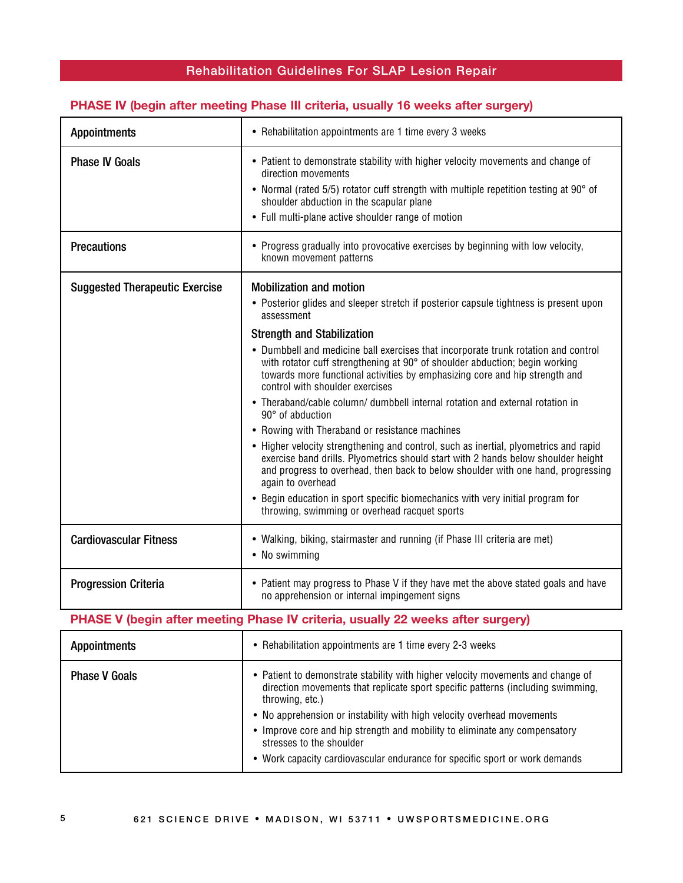#### **PHASE IV (begin after meeting Phase III criteria, usually 16 weeks after surgery)**

| <b>Appointments</b>                                                             | • Rehabilitation appointments are 1 time every 3 weeks                                                                                                                                                                                                                                                                                                                                                                                                                                                                                                                                                                                                                                                                                                                                                                                                                                                                                                                                                                                            |  |
|---------------------------------------------------------------------------------|---------------------------------------------------------------------------------------------------------------------------------------------------------------------------------------------------------------------------------------------------------------------------------------------------------------------------------------------------------------------------------------------------------------------------------------------------------------------------------------------------------------------------------------------------------------------------------------------------------------------------------------------------------------------------------------------------------------------------------------------------------------------------------------------------------------------------------------------------------------------------------------------------------------------------------------------------------------------------------------------------------------------------------------------------|--|
| <b>Phase IV Goals</b>                                                           | • Patient to demonstrate stability with higher velocity movements and change of<br>direction movements<br>• Normal (rated 5/5) rotator cuff strength with multiple repetition testing at 90° of<br>shoulder abduction in the scapular plane<br>• Full multi-plane active shoulder range of motion                                                                                                                                                                                                                                                                                                                                                                                                                                                                                                                                                                                                                                                                                                                                                 |  |
| <b>Precautions</b>                                                              | • Progress gradually into provocative exercises by beginning with low velocity,<br>known movement patterns                                                                                                                                                                                                                                                                                                                                                                                                                                                                                                                                                                                                                                                                                                                                                                                                                                                                                                                                        |  |
| <b>Suggested Therapeutic Exercise</b>                                           | <b>Mobilization and motion</b><br>• Posterior glides and sleeper stretch if posterior capsule tightness is present upon<br>assessment<br><b>Strength and Stabilization</b><br>• Dumbbell and medicine ball exercises that incorporate trunk rotation and control<br>with rotator cuff strengthening at 90° of shoulder abduction; begin working<br>towards more functional activities by emphasizing core and hip strength and<br>control with shoulder exercises<br>• Theraband/cable column/ dumbbell internal rotation and external rotation in<br>90° of abduction<br>• Rowing with Theraband or resistance machines<br>• Higher velocity strengthening and control, such as inertial, plyometrics and rapid<br>exercise band drills. Plyometrics should start with 2 hands below shoulder height<br>and progress to overhead, then back to below shoulder with one hand, progressing<br>again to overhead<br>• Begin education in sport specific biomechanics with very initial program for<br>throwing, swimming or overhead racquet sports |  |
| <b>Cardiovascular Fitness</b>                                                   | • Walking, biking, stairmaster and running (if Phase III criteria are met)<br>• No swimming                                                                                                                                                                                                                                                                                                                                                                                                                                                                                                                                                                                                                                                                                                                                                                                                                                                                                                                                                       |  |
| <b>Progression Criteria</b>                                                     | • Patient may progress to Phase V if they have met the above stated goals and have<br>no apprehension or internal impingement signs                                                                                                                                                                                                                                                                                                                                                                                                                                                                                                                                                                                                                                                                                                                                                                                                                                                                                                               |  |
| PHASE V (begin after meeting Phase IV criteria, usually 22 weeks after surgery) |                                                                                                                                                                                                                                                                                                                                                                                                                                                                                                                                                                                                                                                                                                                                                                                                                                                                                                                                                                                                                                                   |  |
| <b>Appointments</b>                                                             | • Rehabilitation appointments are 1 time every 2-3 weeks                                                                                                                                                                                                                                                                                                                                                                                                                                                                                                                                                                                                                                                                                                                                                                                                                                                                                                                                                                                          |  |
| <b>Phase V Goals</b>                                                            | • Patient to demonstrate stability with higher velocity movements and change of<br>direction movements that replicate sport specific patterns (including swimming,<br>throwing, etc.)<br>• No apprehension or instability with high velocity overhead movements<br>• Improve core and hip strength and mobility to eliminate any compensatory<br>stresses to the shoulder<br>• Work capacity cardiovascular endurance for specific sport or work demands                                                                                                                                                                                                                                                                                                                                                                                                                                                                                                                                                                                          |  |